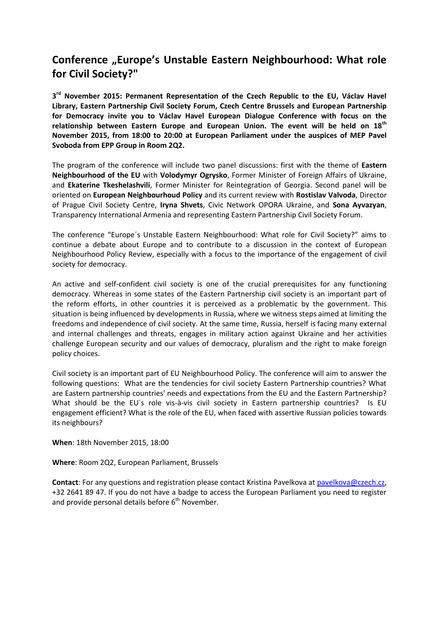## **Conference "Europe's Unstable Eastern Neighbourhood: What role for Civil Society?"**

**3 rd November 2015: Permanent Representation of the Czech Republic to the EU, Václav Havel Library, Eastern Partnership Civil Society Forum, Czech Centre Brussels and European Partnership for Democracy invite you to Václav Havel European Dialogue Conference with focus on the relationship between Eastern Europe and European Union. The event will be held on 18th November 2015, from 18:00 to 20:00 at European Parliament under the auspices of MEP Pavel Svoboda from EPP Group in Room 2Q2.** 

The program of the conference will include two panel discussions: first with the theme of **Eastern Neighbourhood of the EU** with **Volodymyr Ogrysko**, Former Minister of Foreign Affairs of Ukraine, and **Ekaterine Tkeshelashvili**, Former Minister for Reintegration of Georgia. Second panel will be oriented on **European Neighbourhoud Policy** and its current review with **Rostislav Valvoda**, Director of Prague Civil Society Centre, **Iryna Shvets**, Civic Network OPORA Ukraine, and **Sona Ayvazyan**, Transparency International Armenia and representing Eastern Partnership Civil Society Forum.

The conference "Europe´s Unstable Eastern Neighbourhood: What role for Civil Society?" aims to continue a debate about Europe and to contribute to a discussion in the context of European Neighbourhood Policy Review, especially with a focus to the importance of the engagement of civil society for democracy.

An active and self-confident civil society is one of the crucial prerequisites for any functioning democracy. Whereas in some states of the Eastern Partnership civil society is an important part of the reform efforts, in other countries it is perceived as a problematic by the government. This situation is being influenced by developments in Russia, where we witness steps aimed at limiting the freedoms and independence of civil society. At the same time, Russia, herself is facing many external and internal challenges and threats, engages in military action against Ukraine and her activities challenge European security and our values of democracy, pluralism and the right to make foreign policy choices.

Civil society is an important part of EU Neighbourhood Policy. The conference will aim to answer the following questions: What are the tendencies for civil society Eastern Partnership countries? What are Eastern partnership countries' needs and expectations from the EU and the Eastern Partnership? What should be the EU's role vis-à-vis civil society in Eastern partnership countries? Is EU engagement efficient? What is the role of the EU, when faced with assertive Russian policies towards its neighbours?

**When**: 18th November 2015, 18:00

**Where**: Room 2Q2, European Parliament, Brussels

**Contact**: For any questions and registration please contact Kristina Pavelkova at [pavelkova@czech.cz,](mailto:pavelkova@czech.cz) +32 2641 89 47. If you do not have a badge to access the European Parliament you need to register and provide personal details before  $6<sup>th</sup>$  November.